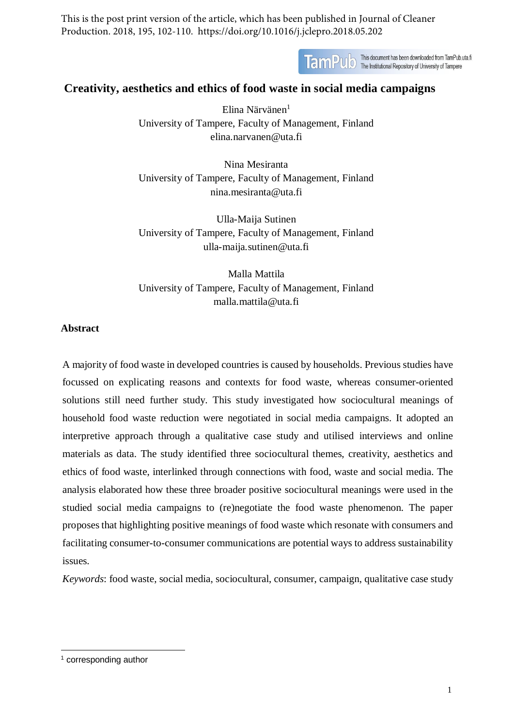This is the post print version of the article, which has been published in Journal of Cleaner Production. 2018, 195, 102-110. https://doi.org/10.1016/j.jclepro.2018.05.202



# **Creativity, aesthetics and ethics of food waste in social media campaigns**

Elina Närvänen $<sup>1</sup>$  $<sup>1</sup>$  $<sup>1</sup>$ </sup> University of Tampere, Faculty of Management, Finland elina.narvanen@uta.fi

Nina Mesiranta University of Tampere, Faculty of Management, Finland nina.mesiranta@uta.fi

Ulla-Maija Sutinen University of Tampere, Faculty of Management, Finland ulla-maija.sutinen@uta.fi

Malla Mattila University of Tampere, Faculty of Management, Finland malla.mattila@uta.fi

# **Abstract**

A majority of food waste in developed countries is caused by households. Previous studies have focussed on explicating reasons and contexts for food waste, whereas consumer-oriented solutions still need further study. This study investigated how sociocultural meanings of household food waste reduction were negotiated in social media campaigns. It adopted an interpretive approach through a qualitative case study and utilised interviews and online materials as data. The study identified three sociocultural themes, creativity, aesthetics and ethics of food waste, interlinked through connections with food, waste and social media. The analysis elaborated how these three broader positive sociocultural meanings were used in the studied social media campaigns to (re)negotiate the food waste phenomenon. The paper proposes that highlighting positive meanings of food waste which resonate with consumers and facilitating consumer-to-consumer communications are potential ways to address sustainability issues.

*Keywords*: food waste, social media, sociocultural, consumer, campaign, qualitative case study

<span id="page-0-0"></span><sup>&</sup>lt;sup>1</sup> corresponding author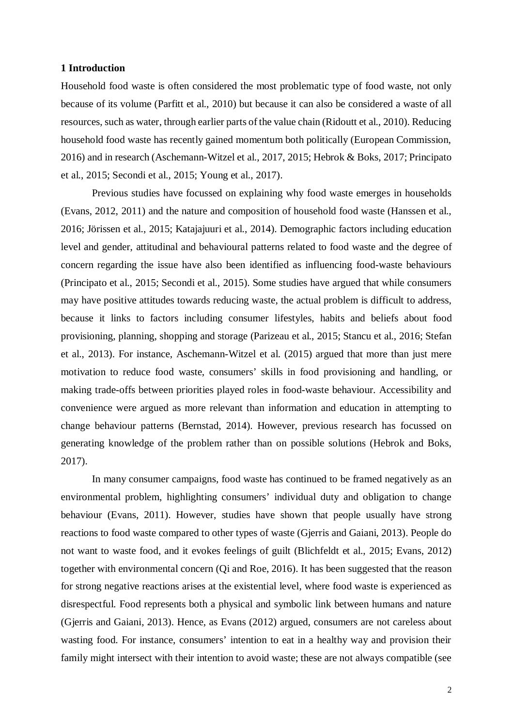### **1 Introduction**

Household food waste is often considered the most problematic type of food waste, not only because of its volume (Parfitt et al., 2010) but because it can also be considered a waste of all resources, such as water, through earlier parts of the value chain (Ridoutt et al., 2010). Reducing household food waste has recently gained momentum both politically (European Commission, 2016) and in research (Aschemann-Witzel et al., 2017, 2015; Hebrok & Boks, 2017; Principato et al., 2015; Secondi et al., 2015; Young et al., 2017).

Previous studies have focussed on explaining why food waste emerges in households (Evans, 2012, 2011) and the nature and composition of household food waste (Hanssen et al., 2016; Jörissen et al., 2015; Katajajuuri et al., 2014). Demographic factors including education level and gender, attitudinal and behavioural patterns related to food waste and the degree of concern regarding the issue have also been identified as influencing food-waste behaviours (Principato et al., 2015; Secondi et al., 2015). Some studies have argued that while consumers may have positive attitudes towards reducing waste, the actual problem is difficult to address, because it links to factors including consumer lifestyles, habits and beliefs about food provisioning, planning, shopping and storage (Parizeau et al., 2015; Stancu et al., 2016; Stefan et al., 2013). For instance, Aschemann-Witzel et al. (2015) argued that more than just mere motivation to reduce food waste, consumers' skills in food provisioning and handling, or making trade-offs between priorities played roles in food-waste behaviour. Accessibility and convenience were argued as more relevant than information and education in attempting to change behaviour patterns (Bernstad, 2014). However, previous research has focussed on generating knowledge of the problem rather than on possible solutions (Hebrok and Boks, 2017).

In many consumer campaigns, food waste has continued to be framed negatively as an environmental problem, highlighting consumers' individual duty and obligation to change behaviour (Evans, 2011). However, studies have shown that people usually have strong reactions to food waste compared to other types of waste (Gjerris and Gaiani, 2013). People do not want to waste food, and it evokes feelings of guilt (Blichfeldt et al., 2015; Evans, 2012) together with environmental concern (Qi and Roe, 2016). It has been suggested that the reason for strong negative reactions arises at the existential level, where food waste is experienced as disrespectful. Food represents both a physical and symbolic link between humans and nature (Gjerris and Gaiani, 2013). Hence, as Evans (2012) argued, consumers are not careless about wasting food. For instance, consumers' intention to eat in a healthy way and provision their family might intersect with their intention to avoid waste; these are not always compatible (see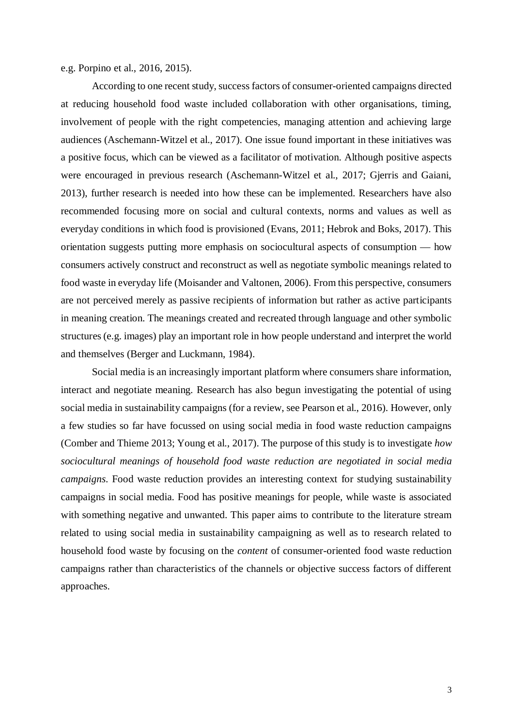e.g. Porpino et al., 2016, 2015).

According to one recent study, success factors of consumer-oriented campaigns directed at reducing household food waste included collaboration with other organisations, timing, involvement of people with the right competencies, managing attention and achieving large audiences (Aschemann-Witzel et al., 2017). One issue found important in these initiatives was a positive focus, which can be viewed as a facilitator of motivation. Although positive aspects were encouraged in previous research (Aschemann-Witzel et al., 2017; Gjerris and Gaiani, 2013), further research is needed into how these can be implemented. Researchers have also recommended focusing more on social and cultural contexts, norms and values as well as everyday conditions in which food is provisioned (Evans, 2011; Hebrok and Boks, 2017). This orientation suggests putting more emphasis on sociocultural aspects of consumption — how consumers actively construct and reconstruct as well as negotiate symbolic meanings related to food waste in everyday life (Moisander and Valtonen, 2006). From this perspective, consumers are not perceived merely as passive recipients of information but rather as active participants in meaning creation. The meanings created and recreated through language and other symbolic structures (e.g. images) play an important role in how people understand and interpret the world and themselves (Berger and Luckmann, 1984).

Social media is an increasingly important platform where consumers share information, interact and negotiate meaning. Research has also begun investigating the potential of using social media in sustainability campaigns (for a review, see Pearson et al., 2016). However, only a few studies so far have focussed on using social media in food waste reduction campaigns (Comber and Thieme 2013; Young et al., 2017). The purpose of this study is to investigate *how sociocultural meanings of household food waste reduction are negotiated in social media campaigns*. Food waste reduction provides an interesting context for studying sustainability campaigns in social media. Food has positive meanings for people, while waste is associated with something negative and unwanted. This paper aims to contribute to the literature stream related to using social media in sustainability campaigning as well as to research related to household food waste by focusing on the *content* of consumer-oriented food waste reduction campaigns rather than characteristics of the channels or objective success factors of different approaches.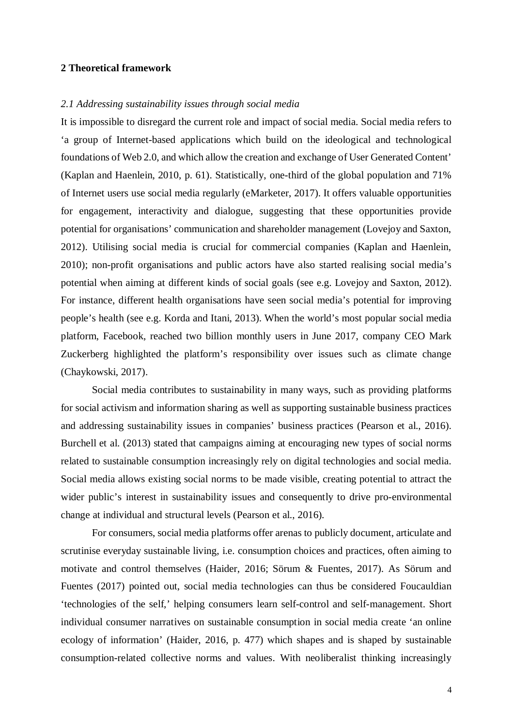#### **2 Theoretical framework**

#### *2.1 Addressing sustainability issues through social media*

It is impossible to disregard the current role and impact of social media. Social media refers to 'a group of Internet-based applications which build on the ideological and technological foundations of Web 2.0, and which allow the creation and exchange of User Generated Content' (Kaplan and Haenlein, 2010, p. 61). Statistically, one-third of the global population and 71% of Internet users use social media regularly (eMarketer, 2017). It offers valuable opportunities for engagement, interactivity and dialogue, suggesting that these opportunities provide potential for organisations' communication and shareholder management (Lovejoy and Saxton, 2012). Utilising social media is crucial for commercial companies (Kaplan and Haenlein, 2010); non-profit organisations and public actors have also started realising social media's potential when aiming at different kinds of social goals (see e.g. Lovejoy and Saxton, 2012). For instance, different health organisations have seen social media's potential for improving people's health (see e.g. Korda and Itani, 2013). When the world's most popular social media platform, Facebook, reached two billion monthly users in June 2017, company CEO Mark Zuckerberg highlighted the platform's responsibility over issues such as climate change (Chaykowski, 2017).

Social media contributes to sustainability in many ways, such as providing platforms for social activism and information sharing as well as supporting sustainable business practices and addressing sustainability issues in companies' business practices (Pearson et al., 2016). Burchell et al. (2013) stated that campaigns aiming at encouraging new types of social norms related to sustainable consumption increasingly rely on digital technologies and social media. Social media allows existing social norms to be made visible, creating potential to attract the wider public's interest in sustainability issues and consequently to drive pro-environmental change at individual and structural levels (Pearson et al., 2016).

For consumers, social media platforms offer arenas to publicly document, articulate and scrutinise everyday sustainable living, i.e. consumption choices and practices, often aiming to motivate and control themselves (Haider, 2016; Sörum & Fuentes, 2017). As Sörum and Fuentes (2017) pointed out, social media technologies can thus be considered Foucauldian 'technologies of the self,' helping consumers learn self-control and self-management. Short individual consumer narratives on sustainable consumption in social media create 'an online ecology of information' (Haider, 2016, p. 477) which shapes and is shaped by sustainable consumption-related collective norms and values. With neoliberalist thinking increasingly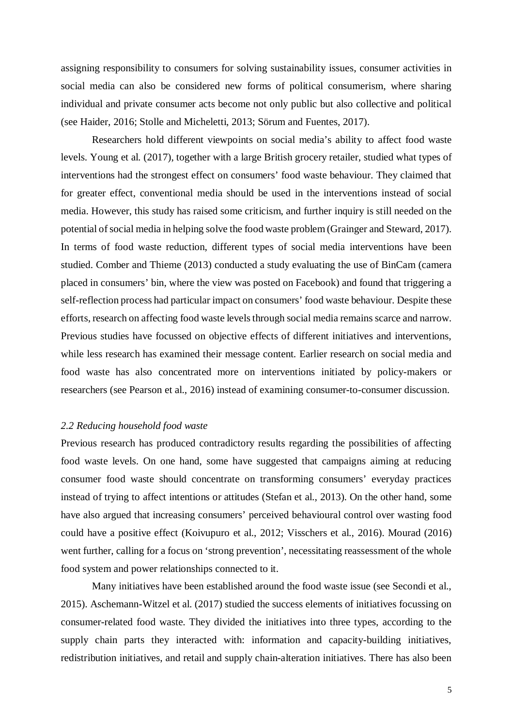assigning responsibility to consumers for solving sustainability issues, consumer activities in social media can also be considered new forms of political consumerism, where sharing individual and private consumer acts become not only public but also collective and political (see Haider, 2016; Stolle and Micheletti, 2013; Sörum and Fuentes, 2017).

Researchers hold different viewpoints on social media's ability to affect food waste levels. Young et al. (2017), together with a large British grocery retailer, studied what types of interventions had the strongest effect on consumers' food waste behaviour. They claimed that for greater effect, conventional media should be used in the interventions instead of social media. However, this study has raised some criticism, and further inquiry is still needed on the potential of social media in helping solve the food waste problem (Grainger and Steward, 2017). In terms of food waste reduction, different types of social media interventions have been studied. Comber and Thieme (2013) conducted a study evaluating the use of BinCam (camera placed in consumers' bin, where the view was posted on Facebook) and found that triggering a self-reflection process had particular impact on consumers' food waste behaviour. Despite these efforts, research on affecting food waste levels through social media remains scarce and narrow. Previous studies have focussed on objective effects of different initiatives and interventions, while less research has examined their message content. Earlier research on social media and food waste has also concentrated more on interventions initiated by policy-makers or researchers (see Pearson et al., 2016) instead of examining consumer-to-consumer discussion.

# *2.2 Reducing household food waste*

Previous research has produced contradictory results regarding the possibilities of affecting food waste levels. On one hand, some have suggested that campaigns aiming at reducing consumer food waste should concentrate on transforming consumers' everyday practices instead of trying to affect intentions or attitudes (Stefan et al., 2013). On the other hand, some have also argued that increasing consumers' perceived behavioural control over wasting food could have a positive effect (Koivupuro et al., 2012; Visschers et al., 2016). Mourad (2016) went further, calling for a focus on 'strong prevention', necessitating reassessment of the whole food system and power relationships connected to it.

Many initiatives have been established around the food waste issue (see Secondi et al., 2015). Aschemann-Witzel et al. (2017) studied the success elements of initiatives focussing on consumer-related food waste. They divided the initiatives into three types, according to the supply chain parts they interacted with: information and capacity-building initiatives, redistribution initiatives, and retail and supply chain-alteration initiatives. There has also been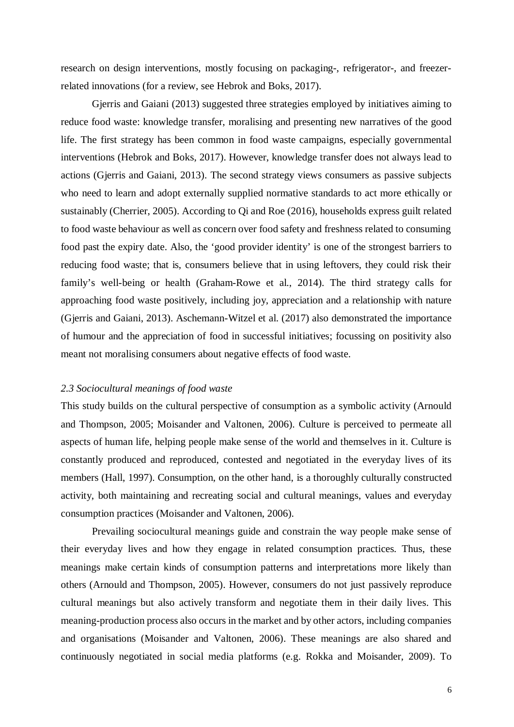research on design interventions, mostly focusing on packaging-, refrigerator-, and freezerrelated innovations (for a review, see Hebrok and Boks, 2017).

Gjerris and Gaiani (2013) suggested three strategies employed by initiatives aiming to reduce food waste: knowledge transfer, moralising and presenting new narratives of the good life. The first strategy has been common in food waste campaigns, especially governmental interventions (Hebrok and Boks, 2017). However, knowledge transfer does not always lead to actions (Gjerris and Gaiani, 2013). The second strategy views consumers as passive subjects who need to learn and adopt externally supplied normative standards to act more ethically or sustainably (Cherrier, 2005). According to Qi and Roe (2016), households express guilt related to food waste behaviour as well as concern over food safety and freshness related to consuming food past the expiry date. Also, the 'good provider identity' is one of the strongest barriers to reducing food waste; that is, consumers believe that in using leftovers, they could risk their family's well-being or health (Graham-Rowe et al., 2014). The third strategy calls for approaching food waste positively, including joy, appreciation and a relationship with nature (Gjerris and Gaiani, 2013). Aschemann-Witzel et al. (2017) also demonstrated the importance of humour and the appreciation of food in successful initiatives; focussing on positivity also meant not moralising consumers about negative effects of food waste.

## *2.3 Sociocultural meanings of food waste*

This study builds on the cultural perspective of consumption as a symbolic activity (Arnould and Thompson, 2005; Moisander and Valtonen, 2006). Culture is perceived to permeate all aspects of human life, helping people make sense of the world and themselves in it. Culture is constantly produced and reproduced, contested and negotiated in the everyday lives of its members (Hall, 1997). Consumption, on the other hand, is a thoroughly culturally constructed activity, both maintaining and recreating social and cultural meanings, values and everyday consumption practices (Moisander and Valtonen, 2006).

Prevailing sociocultural meanings guide and constrain the way people make sense of their everyday lives and how they engage in related consumption practices. Thus, these meanings make certain kinds of consumption patterns and interpretations more likely than others (Arnould and Thompson, 2005). However, consumers do not just passively reproduce cultural meanings but also actively transform and negotiate them in their daily lives. This meaning-production process also occurs in the market and by other actors, including companies and organisations (Moisander and Valtonen, 2006). These meanings are also shared and continuously negotiated in social media platforms (e.g. Rokka and Moisander, 2009). To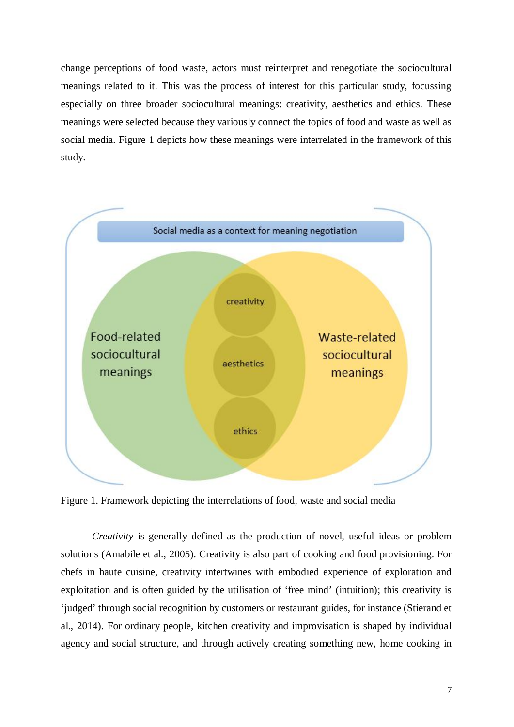change perceptions of food waste, actors must reinterpret and renegotiate the sociocultural meanings related to it. This was the process of interest for this particular study, focussing especially on three broader sociocultural meanings: creativity, aesthetics and ethics. These meanings were selected because they variously connect the topics of food and waste as well as social media. Figure 1 depicts how these meanings were interrelated in the framework of this study.



Figure 1. Framework depicting the interrelations of food, waste and social media

*Creativity* is generally defined as the production of novel, useful ideas or problem solutions (Amabile et al., 2005). Creativity is also part of cooking and food provisioning. For chefs in haute cuisine, creativity intertwines with embodied experience of exploration and exploitation and is often guided by the utilisation of 'free mind' (intuition); this creativity is 'judged' through social recognition by customers or restaurant guides, for instance (Stierand et al., 2014). For ordinary people, kitchen creativity and improvisation is shaped by individual agency and social structure, and through actively creating something new, home cooking in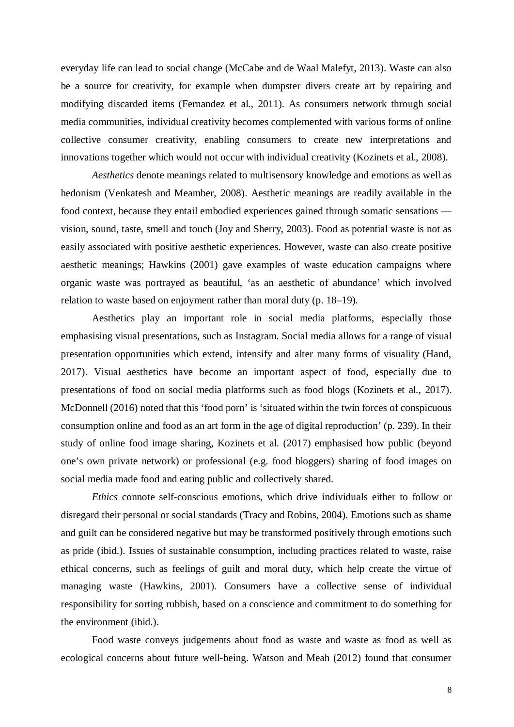everyday life can lead to social change (McCabe and de Waal Malefyt, 2013). Waste can also be a source for creativity, for example when dumpster divers create art by repairing and modifying discarded items (Fernandez et al., 2011). As consumers network through social media communities, individual creativity becomes complemented with various forms of online collective consumer creativity, enabling consumers to create new interpretations and innovations together which would not occur with individual creativity (Kozinets et al., 2008).

*Aesthetics* denote meanings related to multisensory knowledge and emotions as well as hedonism (Venkatesh and Meamber, 2008). Aesthetic meanings are readily available in the food context, because they entail embodied experiences gained through somatic sensations vision, sound, taste, smell and touch (Joy and Sherry, 2003). Food as potential waste is not as easily associated with positive aesthetic experiences. However, waste can also create positive aesthetic meanings; Hawkins (2001) gave examples of waste education campaigns where organic waste was portrayed as beautiful, 'as an aesthetic of abundance' which involved relation to waste based on enjoyment rather than moral duty (p. 18–19).

Aesthetics play an important role in social media platforms, especially those emphasising visual presentations, such as Instagram. Social media allows for a range of visual presentation opportunities which extend, intensify and alter many forms of visuality (Hand, 2017). Visual aesthetics have become an important aspect of food, especially due to presentations of food on social media platforms such as food blogs (Kozinets et al., 2017). McDonnell (2016) noted that this 'food porn' is 'situated within the twin forces of conspicuous consumption online and food as an art form in the age of digital reproduction' (p. 239). In their study of online food image sharing, Kozinets et al. (2017) emphasised how public (beyond one's own private network) or professional (e.g. food bloggers) sharing of food images on social media made food and eating public and collectively shared.

*Ethics* connote self-conscious emotions, which drive individuals either to follow or disregard their personal or social standards (Tracy and Robins, 2004). Emotions such as shame and guilt can be considered negative but may be transformed positively through emotions such as pride (ibid.). Issues of sustainable consumption, including practices related to waste, raise ethical concerns, such as feelings of guilt and moral duty, which help create the virtue of managing waste (Hawkins, 2001). Consumers have a collective sense of individual responsibility for sorting rubbish, based on a conscience and commitment to do something for the environment (ibid.).

Food waste conveys judgements about food as waste and waste as food as well as ecological concerns about future well-being. Watson and Meah (2012) found that consumer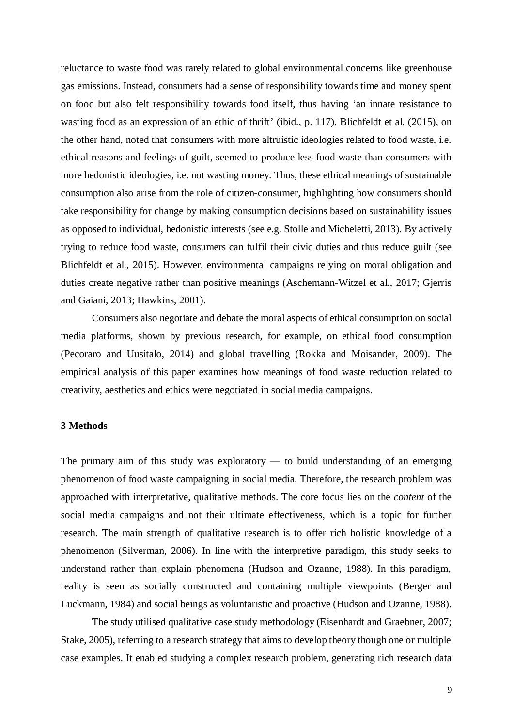reluctance to waste food was rarely related to global environmental concerns like greenhouse gas emissions. Instead, consumers had a sense of responsibility towards time and money spent on food but also felt responsibility towards food itself, thus having 'an innate resistance to wasting food as an expression of an ethic of thrift' (ibid., p. 117). Blichfeldt et al. (2015), on the other hand, noted that consumers with more altruistic ideologies related to food waste, i.e. ethical reasons and feelings of guilt, seemed to produce less food waste than consumers with more hedonistic ideologies, i.e. not wasting money. Thus, these ethical meanings of sustainable consumption also arise from the role of citizen-consumer, highlighting how consumers should take responsibility for change by making consumption decisions based on sustainability issues as opposed to individual, hedonistic interests (see e.g. Stolle and Micheletti, 2013). By actively trying to reduce food waste, consumers can fulfil their civic duties and thus reduce guilt (see Blichfeldt et al., 2015). However, environmental campaigns relying on moral obligation and duties create negative rather than positive meanings (Aschemann-Witzel et al., 2017; Gjerris and Gaiani, 2013; Hawkins, 2001).

Consumers also negotiate and debate the moral aspects of ethical consumption on social media platforms, shown by previous research, for example, on ethical food consumption (Pecoraro and Uusitalo, 2014) and global travelling (Rokka and Moisander, 2009). The empirical analysis of this paper examines how meanings of food waste reduction related to creativity, aesthetics and ethics were negotiated in social media campaigns.

#### **3 Methods**

The primary aim of this study was exploratory — to build understanding of an emerging phenomenon of food waste campaigning in social media. Therefore, the research problem was approached with interpretative, qualitative methods. The core focus lies on the *content* of the social media campaigns and not their ultimate effectiveness, which is a topic for further research. The main strength of qualitative research is to offer rich holistic knowledge of a phenomenon (Silverman, 2006). In line with the interpretive paradigm, this study seeks to understand rather than explain phenomena (Hudson and Ozanne, 1988). In this paradigm, reality is seen as socially constructed and containing multiple viewpoints (Berger and Luckmann, 1984) and social beings as voluntaristic and proactive (Hudson and Ozanne, 1988).

The study utilised qualitative case study methodology (Eisenhardt and Graebner, 2007; Stake, 2005), referring to a research strategy that aims to develop theory though one or multiple case examples. It enabled studying a complex research problem, generating rich research data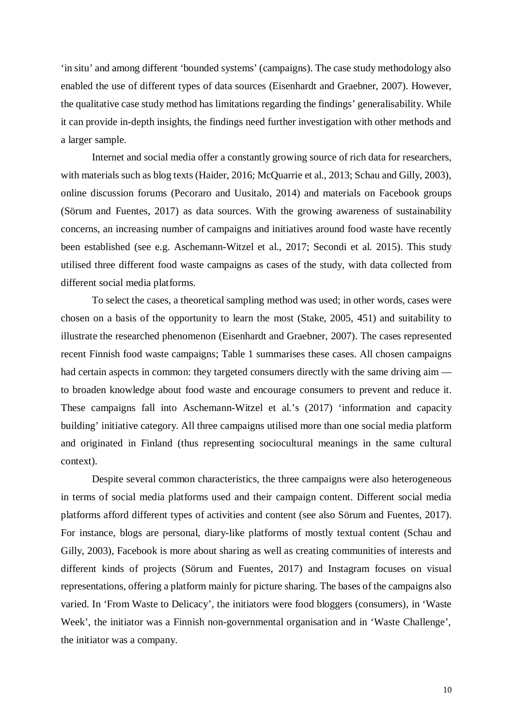'in situ' and among different 'bounded systems' (campaigns). The case study methodology also enabled the use of different types of data sources (Eisenhardt and Graebner, 2007). However, the qualitative case study method has limitations regarding the findings' generalisability. While it can provide in-depth insights, the findings need further investigation with other methods and a larger sample.

Internet and social media offer a constantly growing source of rich data for researchers, with materials such as blog texts (Haider, 2016; McQuarrie et al., 2013; Schau and Gilly, 2003), online discussion forums (Pecoraro and Uusitalo, 2014) and materials on Facebook groups (Sörum and Fuentes, 2017) as data sources. With the growing awareness of sustainability concerns, an increasing number of campaigns and initiatives around food waste have recently been established (see e.g. Aschemann-Witzel et al., 2017; Secondi et al. 2015). This study utilised three different food waste campaigns as cases of the study, with data collected from different social media platforms.

To select the cases, a theoretical sampling method was used; in other words, cases were chosen on a basis of the opportunity to learn the most (Stake, 2005, 451) and suitability to illustrate the researched phenomenon (Eisenhardt and Graebner, 2007). The cases represented recent Finnish food waste campaigns; Table 1 summarises these cases. All chosen campaigns had certain aspects in common: they targeted consumers directly with the same driving aim to broaden knowledge about food waste and encourage consumers to prevent and reduce it. These campaigns fall into Aschemann-Witzel et al.'s (2017) 'information and capacity building' initiative category. All three campaigns utilised more than one social media platform and originated in Finland (thus representing sociocultural meanings in the same cultural context).

Despite several common characteristics, the three campaigns were also heterogeneous in terms of social media platforms used and their campaign content. Different social media platforms afford different types of activities and content (see also Sörum and Fuentes, 2017). For instance, blogs are personal, diary-like platforms of mostly textual content (Schau and Gilly, 2003), Facebook is more about sharing as well as creating communities of interests and different kinds of projects (Sörum and Fuentes, 2017) and Instagram focuses on visual representations, offering a platform mainly for picture sharing. The bases of the campaigns also varied. In 'From Waste to Delicacy', the initiators were food bloggers (consumers), in 'Waste Week', the initiator was a Finnish non-governmental organisation and in 'Waste Challenge', the initiator was a company.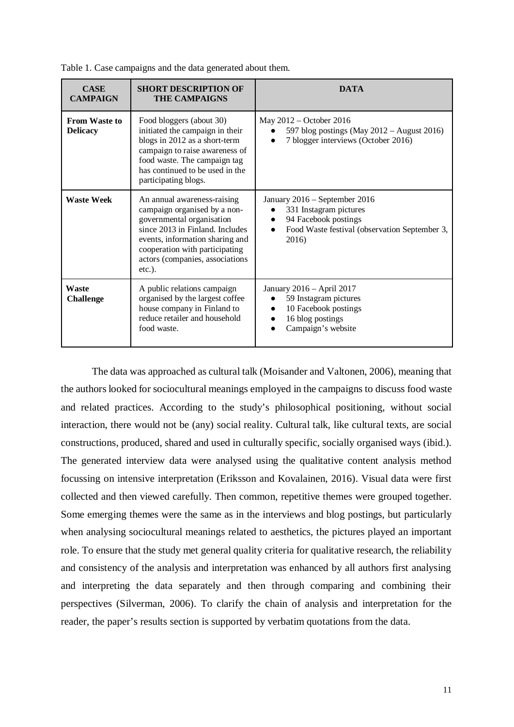| <b>CASE</b><br><b>CAMPAIGN</b>          | <b>SHORT DESCRIPTION OF</b><br><b>THE CAMPAIGNS</b>                                                                                                                                                                                              | <b>DATA</b>                                                                                                                                                         |
|-----------------------------------------|--------------------------------------------------------------------------------------------------------------------------------------------------------------------------------------------------------------------------------------------------|---------------------------------------------------------------------------------------------------------------------------------------------------------------------|
| <b>From Waste to</b><br><b>Delicacy</b> | Food bloggers (about 30)<br>initiated the campaign in their<br>blogs in 2012 as a short-term<br>campaign to raise awareness of<br>food waste. The campaign tag<br>has continued to be used in the<br>participating blogs.                        | May 2012 – October 2016<br>597 blog postings (May $2012 -$ August 2016)<br>7 blogger interviews (October 2016)                                                      |
| <b>Waste Week</b>                       | An annual awareness-raising<br>campaign organised by a non-<br>governmental organisation<br>since 2013 in Finland. Includes<br>events, information sharing and<br>cooperation with participating<br>actors (companies, associations<br>$etc.$ ). | January 2016 – September 2016<br>331 Instagram pictures<br>$\bullet$<br>94 Facebook postings<br>Food Waste festival (observation September 3,<br>$\bullet$<br>2016) |
| Waste<br><b>Challenge</b>               | A public relations campaign<br>organised by the largest coffee<br>house company in Finland to<br>reduce retailer and household<br>food waste.                                                                                                    | January 2016 - April 2017<br>59 Instagram pictures<br>10 Facebook postings<br>16 blog postings<br>Campaign's website                                                |

Table 1. Case campaigns and the data generated about them.

The data was approached as cultural talk (Moisander and Valtonen, 2006), meaning that the authors looked for sociocultural meanings employed in the campaigns to discuss food waste and related practices. According to the study's philosophical positioning, without social interaction, there would not be (any) social reality. Cultural talk, like cultural texts, are social constructions, produced, shared and used in culturally specific, socially organised ways (ibid.). The generated interview data were analysed using the qualitative content analysis method focussing on intensive interpretation (Eriksson and Kovalainen, 2016). Visual data were first collected and then viewed carefully. Then common, repetitive themes were grouped together. Some emerging themes were the same as in the interviews and blog postings, but particularly when analysing sociocultural meanings related to aesthetics, the pictures played an important role. To ensure that the study met general quality criteria for qualitative research, the reliability and consistency of the analysis and interpretation was enhanced by all authors first analysing and interpreting the data separately and then through comparing and combining their perspectives (Silverman, 2006). To clarify the chain of analysis and interpretation for the reader, the paper's results section is supported by verbatim quotations from the data.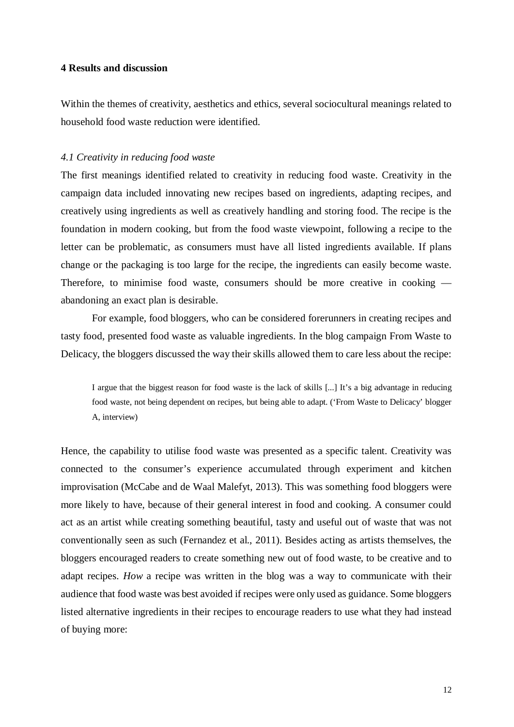#### **4 Results and discussion**

Within the themes of creativity, aesthetics and ethics, several sociocultural meanings related to household food waste reduction were identified.

#### *4.1 Creativity in reducing food waste*

The first meanings identified related to creativity in reducing food waste. Creativity in the campaign data included innovating new recipes based on ingredients, adapting recipes, and creatively using ingredients as well as creatively handling and storing food. The recipe is the foundation in modern cooking, but from the food waste viewpoint, following a recipe to the letter can be problematic, as consumers must have all listed ingredients available. If plans change or the packaging is too large for the recipe, the ingredients can easily become waste. Therefore, to minimise food waste, consumers should be more creative in cooking abandoning an exact plan is desirable.

For example, food bloggers, who can be considered forerunners in creating recipes and tasty food, presented food waste as valuable ingredients. In the blog campaign From Waste to Delicacy, the bloggers discussed the way their skills allowed them to care less about the recipe:

I argue that the biggest reason for food waste is the lack of skills [...] It's a big advantage in reducing food waste, not being dependent on recipes, but being able to adapt. ('From Waste to Delicacy' blogger A, interview)

Hence, the capability to utilise food waste was presented as a specific talent. Creativity was connected to the consumer's experience accumulated through experiment and kitchen improvisation (McCabe and de Waal Malefyt, 2013). This was something food bloggers were more likely to have, because of their general interest in food and cooking. A consumer could act as an artist while creating something beautiful, tasty and useful out of waste that was not conventionally seen as such (Fernandez et al., 2011). Besides acting as artists themselves, the bloggers encouraged readers to create something new out of food waste, to be creative and to adapt recipes. *How* a recipe was written in the blog was a way to communicate with their audience that food waste was best avoided if recipes were only used as guidance. Some bloggers listed alternative ingredients in their recipes to encourage readers to use what they had instead of buying more: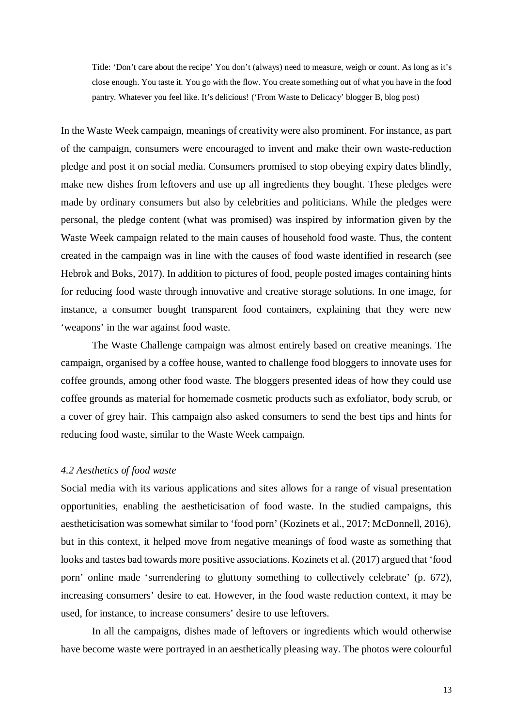Title: 'Don't care about the recipe' You don't (always) need to measure, weigh or count. As long as it's close enough. You taste it. You go with the flow. You create something out of what you have in the food pantry. Whatever you feel like. It's delicious! ('From Waste to Delicacy' blogger B, blog post)

In the Waste Week campaign, meanings of creativity were also prominent. For instance, as part of the campaign, consumers were encouraged to invent and make their own waste-reduction pledge and post it on social media. Consumers promised to stop obeying expiry dates blindly, make new dishes from leftovers and use up all ingredients they bought. These pledges were made by ordinary consumers but also by celebrities and politicians. While the pledges were personal, the pledge content (what was promised) was inspired by information given by the Waste Week campaign related to the main causes of household food waste. Thus, the content created in the campaign was in line with the causes of food waste identified in research (see Hebrok and Boks, 2017). In addition to pictures of food, people posted images containing hints for reducing food waste through innovative and creative storage solutions. In one image, for instance, a consumer bought transparent food containers, explaining that they were new 'weapons' in the war against food waste.

The Waste Challenge campaign was almost entirely based on creative meanings. The campaign, organised by a coffee house, wanted to challenge food bloggers to innovate uses for coffee grounds, among other food waste. The bloggers presented ideas of how they could use coffee grounds as material for homemade cosmetic products such as exfoliator, body scrub, or a cover of grey hair. This campaign also asked consumers to send the best tips and hints for reducing food waste, similar to the Waste Week campaign.

#### *4.2 Aesthetics of food waste*

Social media with its various applications and sites allows for a range of visual presentation opportunities, enabling the aestheticisation of food waste. In the studied campaigns, this aestheticisation was somewhat similar to 'food porn' (Kozinets et al., 2017; McDonnell, 2016), but in this context, it helped move from negative meanings of food waste as something that looks and tastes bad towards more positive associations. Kozinets et al. (2017) argued that 'food porn' online made 'surrendering to gluttony something to collectively celebrate' (p. 672), increasing consumers' desire to eat. However, in the food waste reduction context, it may be used, for instance, to increase consumers' desire to use leftovers.

In all the campaigns, dishes made of leftovers or ingredients which would otherwise have become waste were portrayed in an aesthetically pleasing way. The photos were colourful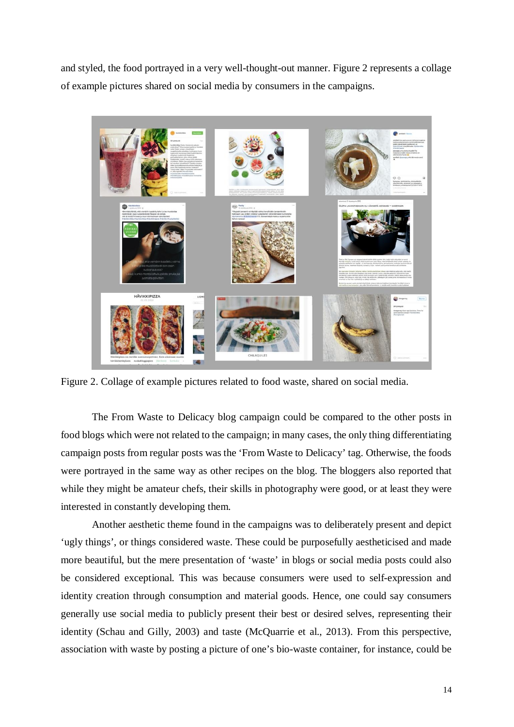and styled, the food portrayed in a very well-thought-out manner. Figure 2 represents a collage of example pictures shared on social media by consumers in the campaigns.



Figure 2. Collage of example pictures related to food waste, shared on social media.

The From Waste to Delicacy blog campaign could be compared to the other posts in food blogs which were not related to the campaign; in many cases, the only thing differentiating campaign posts from regular posts was the 'From Waste to Delicacy' tag. Otherwise, the foods were portrayed in the same way as other recipes on the blog. The bloggers also reported that while they might be amateur chefs, their skills in photography were good, or at least they were interested in constantly developing them.

Another aesthetic theme found in the campaigns was to deliberately present and depict 'ugly things', or things considered waste. These could be purposefully aestheticised and made more beautiful, but the mere presentation of 'waste' in blogs or social media posts could also be considered exceptional. This was because consumers were used to self-expression and identity creation through consumption and material goods. Hence, one could say consumers generally use social media to publicly present their best or desired selves, representing their identity (Schau and Gilly, 2003) and taste (McQuarrie et al., 2013). From this perspective, association with waste by posting a picture of one's bio-waste container, for instance, could be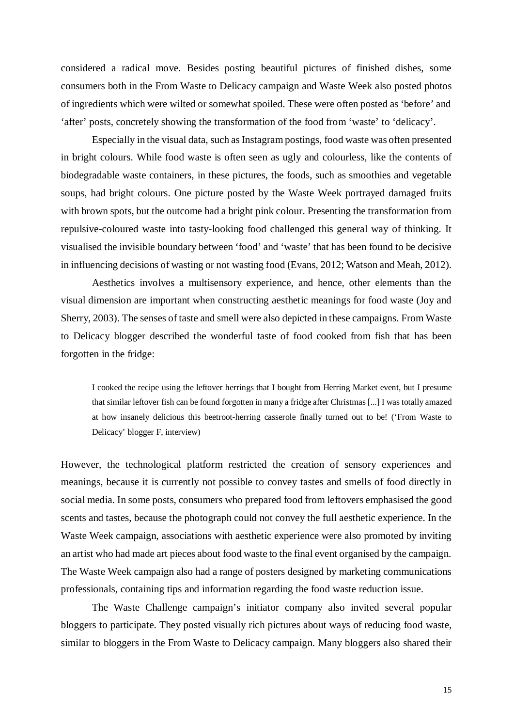considered a radical move. Besides posting beautiful pictures of finished dishes, some consumers both in the From Waste to Delicacy campaign and Waste Week also posted photos of ingredients which were wilted or somewhat spoiled. These were often posted as 'before' and 'after' posts, concretely showing the transformation of the food from 'waste' to 'delicacy'.

Especially in the visual data, such as Instagram postings, food waste was often presented in bright colours. While food waste is often seen as ugly and colourless, like the contents of biodegradable waste containers, in these pictures, the foods, such as smoothies and vegetable soups, had bright colours. One picture posted by the Waste Week portrayed damaged fruits with brown spots, but the outcome had a bright pink colour. Presenting the transformation from repulsive-coloured waste into tasty-looking food challenged this general way of thinking. It visualised the invisible boundary between 'food' and 'waste' that has been found to be decisive in influencing decisions of wasting or not wasting food (Evans, 2012; Watson and Meah, 2012).

Aesthetics involves a multisensory experience, and hence, other elements than the visual dimension are important when constructing aesthetic meanings for food waste (Joy and Sherry, 2003). The senses of taste and smell were also depicted in these campaigns. From Waste to Delicacy blogger described the wonderful taste of food cooked from fish that has been forgotten in the fridge:

I cooked the recipe using the leftover herrings that I bought from Herring Market event, but I presume that similar leftover fish can be found forgotten in many a fridge after Christmas [...] I was totally amazed at how insanely delicious this beetroot-herring casserole finally turned out to be! ('From Waste to Delicacy' blogger F, interview)

However, the technological platform restricted the creation of sensory experiences and meanings, because it is currently not possible to convey tastes and smells of food directly in social media. In some posts, consumers who prepared food from leftovers emphasised the good scents and tastes, because the photograph could not convey the full aesthetic experience. In the Waste Week campaign, associations with aesthetic experience were also promoted by inviting an artist who had made art pieces about food waste to the final event organised by the campaign. The Waste Week campaign also had a range of posters designed by marketing communications professionals, containing tips and information regarding the food waste reduction issue.

The Waste Challenge campaign's initiator company also invited several popular bloggers to participate. They posted visually rich pictures about ways of reducing food waste, similar to bloggers in the From Waste to Delicacy campaign. Many bloggers also shared their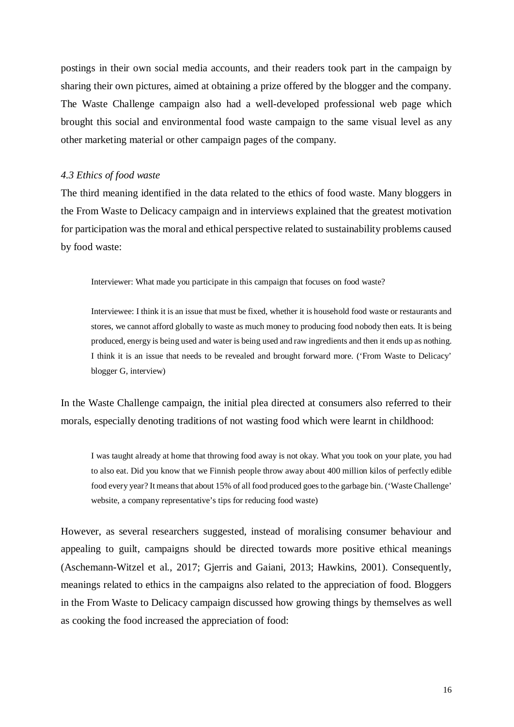postings in their own social media accounts, and their readers took part in the campaign by sharing their own pictures, aimed at obtaining a prize offered by the blogger and the company. The Waste Challenge campaign also had a well-developed professional web page which brought this social and environmental food waste campaign to the same visual level as any other marketing material or other campaign pages of the company.

#### *4.3 Ethics of food waste*

The third meaning identified in the data related to the ethics of food waste. Many bloggers in the From Waste to Delicacy campaign and in interviews explained that the greatest motivation for participation was the moral and ethical perspective related to sustainability problems caused by food waste:

Interviewer: What made you participate in this campaign that focuses on food waste?

Interviewee: I think it is an issue that must be fixed, whether it is household food waste or restaurants and stores, we cannot afford globally to waste as much money to producing food nobody then eats. It is being produced, energy is being used and water is being used and raw ingredients and then it ends up as nothing. I think it is an issue that needs to be revealed and brought forward more. ('From Waste to Delicacy' blogger G, interview)

In the Waste Challenge campaign, the initial plea directed at consumers also referred to their morals, especially denoting traditions of not wasting food which were learnt in childhood:

I was taught already at home that throwing food away is not okay. What you took on your plate, you had to also eat. Did you know that we Finnish people throw away about 400 million kilos of perfectly edible food every year? It means that about 15% of all food produced goes to the garbage bin. ('Waste Challenge' website, a company representative's tips for reducing food waste)

However, as several researchers suggested, instead of moralising consumer behaviour and appealing to guilt, campaigns should be directed towards more positive ethical meanings (Aschemann-Witzel et al., 2017; Gjerris and Gaiani, 2013; Hawkins, 2001). Consequently, meanings related to ethics in the campaigns also related to the appreciation of food. Bloggers in the From Waste to Delicacy campaign discussed how growing things by themselves as well as cooking the food increased the appreciation of food: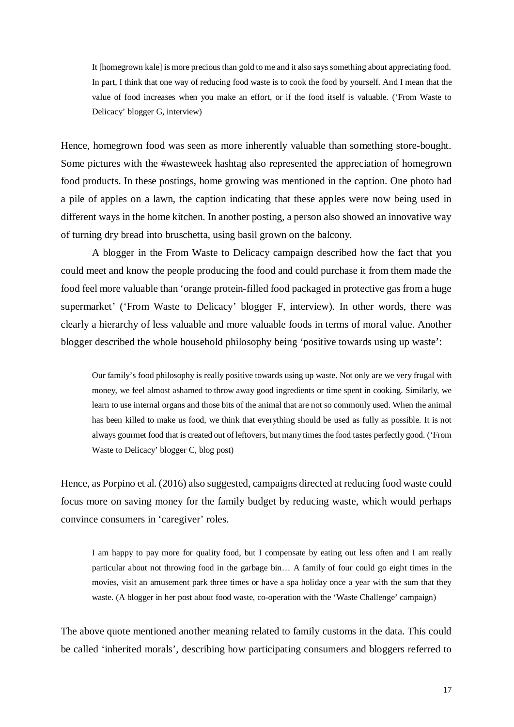It [homegrown kale] is more precious than gold to me and it also says something about appreciating food. In part, I think that one way of reducing food waste is to cook the food by yourself. And I mean that the value of food increases when you make an effort, or if the food itself is valuable. ('From Waste to Delicacy' blogger G, interview)

Hence, homegrown food was seen as more inherently valuable than something store-bought. Some pictures with the #wasteweek hashtag also represented the appreciation of homegrown food products. In these postings, home growing was mentioned in the caption. One photo had a pile of apples on a lawn, the caption indicating that these apples were now being used in different ways in the home kitchen. In another posting, a person also showed an innovative way of turning dry bread into bruschetta, using basil grown on the balcony.

A blogger in the From Waste to Delicacy campaign described how the fact that you could meet and know the people producing the food and could purchase it from them made the food feel more valuable than 'orange protein-filled food packaged in protective gas from a huge supermarket' ('From Waste to Delicacy' blogger F, interview). In other words, there was clearly a hierarchy of less valuable and more valuable foods in terms of moral value. Another blogger described the whole household philosophy being 'positive towards using up waste':

Our family's food philosophy is really positive towards using up waste. Not only are we very frugal with money, we feel almost ashamed to throw away good ingredients or time spent in cooking. Similarly, we learn to use internal organs and those bits of the animal that are not so commonly used. When the animal has been killed to make us food, we think that everything should be used as fully as possible. It is not always gourmet food that is created out of leftovers, but many times the food tastes perfectly good. ('From Waste to Delicacy' blogger C, blog post)

Hence, as Porpino et al. (2016) also suggested, campaigns directed at reducing food waste could focus more on saving money for the family budget by reducing waste, which would perhaps convince consumers in 'caregiver' roles.

I am happy to pay more for quality food, but I compensate by eating out less often and I am really particular about not throwing food in the garbage bin… A family of four could go eight times in the movies, visit an amusement park three times or have a spa holiday once a year with the sum that they waste. (A blogger in her post about food waste, co-operation with the 'Waste Challenge' campaign)

The above quote mentioned another meaning related to family customs in the data. This could be called 'inherited morals', describing how participating consumers and bloggers referred to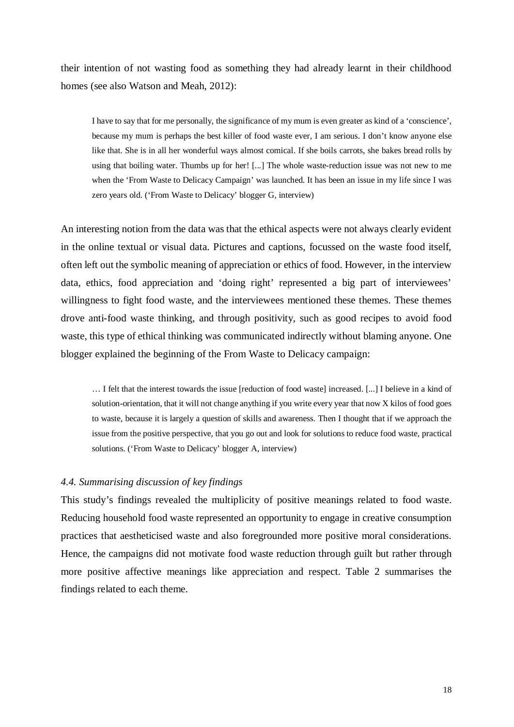their intention of not wasting food as something they had already learnt in their childhood homes (see also Watson and Meah, 2012):

I have to say that for me personally, the significance of my mum is even greater as kind of a 'conscience', because my mum is perhaps the best killer of food waste ever, I am serious. I don't know anyone else like that. She is in all her wonderful ways almost comical. If she boils carrots, she bakes bread rolls by using that boiling water. Thumbs up for her! [...] The whole waste-reduction issue was not new to me when the 'From Waste to Delicacy Campaign' was launched. It has been an issue in my life since I was zero years old. ('From Waste to Delicacy' blogger G, interview)

An interesting notion from the data was that the ethical aspects were not always clearly evident in the online textual or visual data. Pictures and captions, focussed on the waste food itself, often left out the symbolic meaning of appreciation or ethics of food. However, in the interview data, ethics, food appreciation and 'doing right' represented a big part of interviewees' willingness to fight food waste, and the interviewees mentioned these themes. These themes drove anti-food waste thinking, and through positivity, such as good recipes to avoid food waste, this type of ethical thinking was communicated indirectly without blaming anyone. One blogger explained the beginning of the From Waste to Delicacy campaign:

… I felt that the interest towards the issue [reduction of food waste] increased. [...] I believe in a kind of solution-orientation, that it will not change anything if you write every year that now X kilos of food goes to waste, because it is largely a question of skills and awareness. Then I thought that if we approach the issue from the positive perspective, that you go out and look for solutions to reduce food waste, practical solutions. ('From Waste to Delicacy' blogger A, interview)

### *4.4. Summarising discussion of key findings*

This study's findings revealed the multiplicity of positive meanings related to food waste. Reducing household food waste represented an opportunity to engage in creative consumption practices that aestheticised waste and also foregrounded more positive moral considerations. Hence, the campaigns did not motivate food waste reduction through guilt but rather through more positive affective meanings like appreciation and respect. Table 2 summarises the findings related to each theme.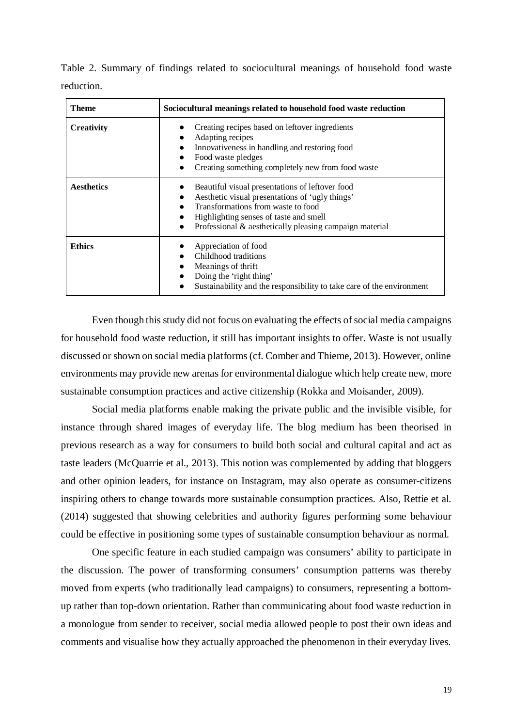| <b>Theme</b>      | Sociocultural meanings related to household food waste reduction                                                                                                                                                                                           |  |
|-------------------|------------------------------------------------------------------------------------------------------------------------------------------------------------------------------------------------------------------------------------------------------------|--|
| <b>Creativity</b> | Creating recipes based on leftover ingredients<br>Adapting recipes<br>Innovativeness in handling and restoring food<br>$\bullet$<br>Food waste pledges<br>Creating something completely new from food waste                                                |  |
| <b>Aesthetics</b> | Beautiful visual presentations of leftover food<br>Aesthetic visual presentations of 'ugly things'<br>Transformations from waste to food<br>Highlighting senses of taste and smell<br>Professional & aesthetically pleasing campaign material<br>$\bullet$ |  |
| <b>Ethics</b>     | Appreciation of food<br>Childhood traditions<br>Meanings of thrift<br>Doing the 'right thing'                                                                                                                                                              |  |

Table 2. Summary of findings related to sociocultural meanings of household food waste reduction.

Even though this study did not focus on evaluating the effects of social media campaigns for household food waste reduction, it still has important insights to offer. Waste is not usually discussed or shown on social media platforms (cf. Comber and Thieme, 2013). However, online environments may provide new arenas for environmental dialogue which help create new, more sustainable consumption practices and active citizenship (Rokka and Moisander, 2009).

Sustainability and the responsibility to take care of the environment

Social media platforms enable making the private public and the invisible visible, for instance through shared images of everyday life. The blog medium has been theorised in previous research as a way for consumers to build both social and cultural capital and act as taste leaders (McQuarrie et al., 2013). This notion was complemented by adding that bloggers and other opinion leaders, for instance on Instagram, may also operate as consumer-citizens inspiring others to change towards more sustainable consumption practices. Also, Rettie et al. (2014) suggested that showing celebrities and authority figures performing some behaviour could be effective in positioning some types of sustainable consumption behaviour as normal.

One specific feature in each studied campaign was consumers' ability to participate in the discussion. The power of transforming consumers' consumption patterns was thereby moved from experts (who traditionally lead campaigns) to consumers, representing a bottomup rather than top-down orientation. Rather than communicating about food waste reduction in a monologue from sender to receiver, social media allowed people to post their own ideas and comments and visualise how they actually approached the phenomenon in their everyday lives.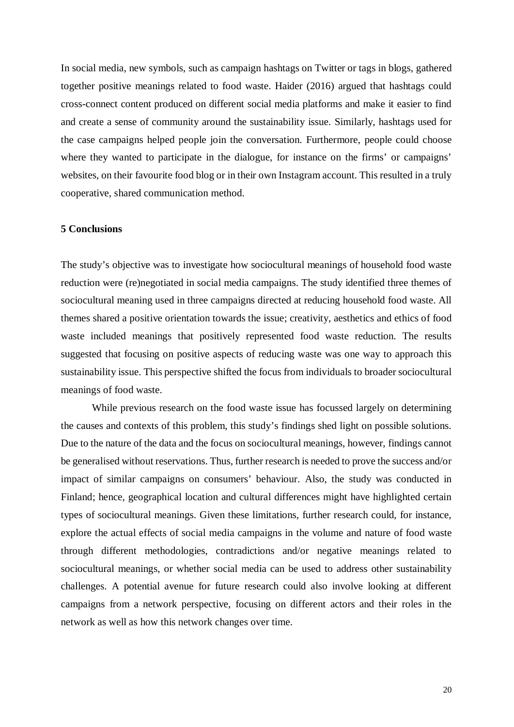In social media, new symbols, such as campaign hashtags on Twitter or tags in blogs, gathered together positive meanings related to food waste. Haider (2016) argued that hashtags could cross-connect content produced on different social media platforms and make it easier to find and create a sense of community around the sustainability issue. Similarly, hashtags used for the case campaigns helped people join the conversation. Furthermore, people could choose where they wanted to participate in the dialogue, for instance on the firms' or campaigns' websites, on their favourite food blog or in their own Instagram account. This resulted in a truly cooperative, shared communication method.

#### **5 Conclusions**

The study's objective was to investigate how sociocultural meanings of household food waste reduction were (re)negotiated in social media campaigns. The study identified three themes of sociocultural meaning used in three campaigns directed at reducing household food waste. All themes shared a positive orientation towards the issue; creativity, aesthetics and ethics of food waste included meanings that positively represented food waste reduction. The results suggested that focusing on positive aspects of reducing waste was one way to approach this sustainability issue. This perspective shifted the focus from individuals to broader sociocultural meanings of food waste.

While previous research on the food waste issue has focussed largely on determining the causes and contexts of this problem, this study's findings shed light on possible solutions. Due to the nature of the data and the focus on sociocultural meanings, however, findings cannot be generalised without reservations. Thus, further research is needed to prove the success and/or impact of similar campaigns on consumers' behaviour. Also, the study was conducted in Finland; hence, geographical location and cultural differences might have highlighted certain types of sociocultural meanings. Given these limitations, further research could, for instance, explore the actual effects of social media campaigns in the volume and nature of food waste through different methodologies, contradictions and/or negative meanings related to sociocultural meanings, or whether social media can be used to address other sustainability challenges. A potential avenue for future research could also involve looking at different campaigns from a network perspective, focusing on different actors and their roles in the network as well as how this network changes over time.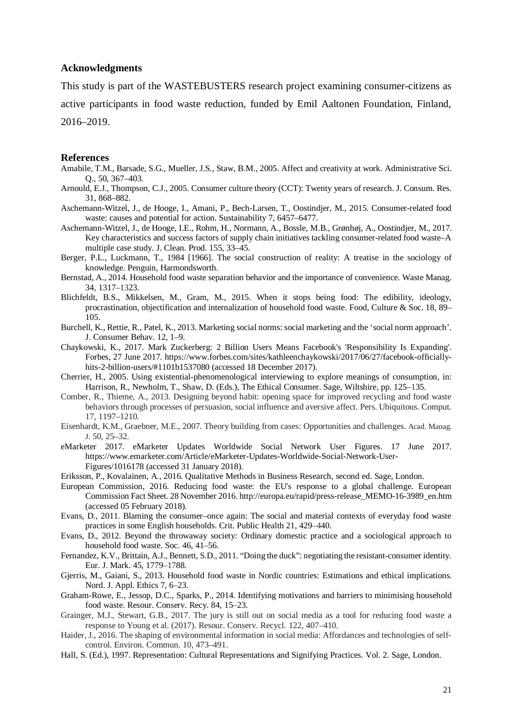#### **Acknowledgments**

This study is part of the WASTEBUSTERS research project examining consumer-citizens as active participants in food waste reduction, funded by Emil Aaltonen Foundation, Finland, 2016–2019.

#### **References**

- Amabile, T.M., Barsade, S.G., Mueller, J.S., Staw, B.M., 2005. Affect and creativity at work. Administrative Sci. Q*.*, 50, 367–403.
- Arnould, E.J., Thompson, C.J., 2005. Consumer culture theory (CCT): Twenty years of research. J. Consum. Res. 31, 868–882.
- Aschemann-Witzel, J., de Hooge, I., Amani, P., Bech-Larsen, T., Oostindjer, M., 2015. Consumer-related food waste: causes and potential for action. Sustainability 7, 6457–6477.
- Aschemann-Witzel, J., de Hooge, I.E., Rohm, H., Normann, A., Bossle, M.B., Grønhøj, A., Oostindjer, M., 2017. Key characteristics and success factors of supply chain initiatives tackling consumer-related food waste–A multiple case study. J. Clean. Prod. 155, 33–45.
- Berger, P.L., Luckmann, T., 1984 [1966]. The social construction of reality: A treatise in the sociology of knowledge. Penguin, Harmondsworth.
- Bernstad, A., 2014. Household food waste separation behavior and the importance of convenience. Waste Manag. 34, 1317–1323.
- Blichfeldt, B.S., Mikkelsen, M., Gram, M., 2015. When it stops being food: The edibility, ideology, procrastination, objectification and internalization of household food waste. Food, Culture & Soc. 18, 89– 105.
- Burchell, K., Rettie, R., Patel, K., 2013. Marketing social norms: social marketing and the 'social norm approach'. J. Consumer Behav. 12, 1–9.
- Chaykowski, K., 2017. Mark Zuckerberg: 2 Billion Users Means Facebook's 'Responsibility Is Expanding'. Forbes, 27 June 2017. https://www.forbes.com/sites/kathleenchaykowski/2017/06/27/facebook-officiallyhits-2-billion-users/#1101b1537080 (accessed 18 December 2017).
- Cherrier, H., 2005. Using existential-phenomenological interviewing to explore meanings of consumption, in: Harrison, R., Newholm, T., Shaw, D. (Eds.), The Ethical Consumer. Sage, Wiltshire, pp. 125–135.
- Comber, R., Thieme, A., 2013. Designing beyond habit: opening space for improved recycling and food waste behaviors through processes of persuasion, social influence and aversive affect. Pers. Ubiquitous. Comput. 17, 1197–1210.
- Eisenhardt, K.M., Graebner, M.E., 2007. Theory building from cases: Opportunities and challenges. Acad. Manag. J. 50, 25–32.
- eMarketer 2017. eMarketer Updates Worldwide Social Network User Figures. 17 June 2017. https://www.emarketer.com/Article/eMarketer-Updates-Worldwide-Social-Network-User-Figures/1016178 (accessed 31 January 2018).
- Eriksson, P., Kovalainen, A., 2016. Qualitative Methods in Business Research, second ed. Sage, London.
- European Commission, 2016. Reducing food waste: the EU's response to a global challenge. European Commission Fact Sheet. 28 November 2016. http://europa.eu/rapid/press-release\_MEMO-16-3989\_en.htm (accessed 05 February 2018).
- Evans, D., 2011. Blaming the consumer–once again: The social and material contexts of everyday food waste practices in some English households. Crit. Public Health 21, 429–440.
- Evans, D., 2012. Beyond the throwaway society: Ordinary domestic practice and a sociological approach to household food waste. Soc*.* 46, 41–56.
- Fernandez, K.V., Brittain, A.J., Bennett, S.D., 2011. "Doing the duck": negotiating the resistant-consumer identity. Eur. J. Mark. 45, 1779–1788.
- Gjerris, M., Gaiani, S., 2013. Household food waste in Nordic countries: Estimations and ethical implications. Nord. J. Appl. Ethics 7, 6–23.
- Graham-Rowe, E., Jessop, D.C., Sparks, P., 2014. Identifying motivations and barriers to minimising household food waste. Resour. Conserv. Recy. 84, 15–23.
- Grainger, M.J., Stewart, G.B., 2017. The jury is still out on social media as a tool for reducing food waste a response to Young et al. (2017). Resour. Conserv. Recycl. 122, 407–410.
- Haider, J., 2016. The shaping of environmental information in social media: Affordances and technologies of selfcontrol. Environ. Commun. 10, 473–491.
- Hall, S. (Ed.), 1997. Representation: Cultural Representations and Signifying Practices. Vol. 2. Sage, London.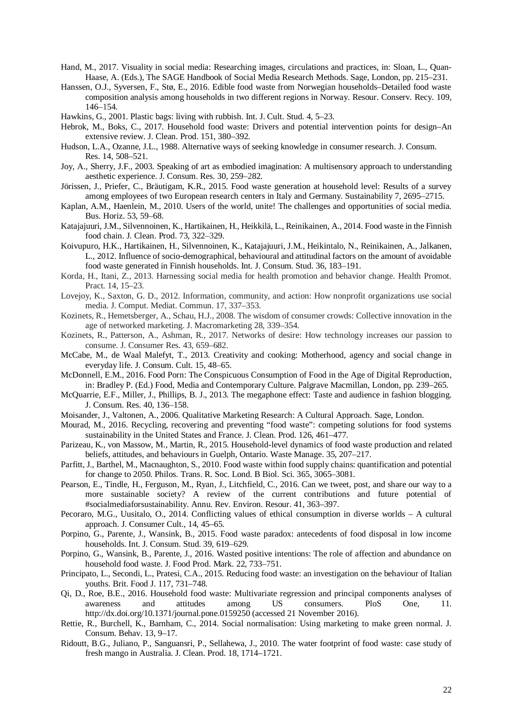- Hand, M., 2017. Visuality in social media: Researching images, circulations and practices, in: Sloan, L., Quan-Haase, A. (Eds.), The SAGE Handbook of Social Media Research Methods. Sage, London, pp. 215–231.
- Hanssen, O.J., Syversen, F., Stø, E., 2016. Edible food waste from Norwegian households–Detailed food waste composition analysis among households in two different regions in Norway. Resour. Conserv. Recy. 109, 146–154.
- Hawkins, G., 2001. Plastic bags: living with rubbish. Int. J. Cult. Stud. 4, 5–23.
- Hebrok, M., Boks, C., 2017. Household food waste: Drivers and potential intervention points for design–An extensive review. J. Clean. Prod. 151, 380–392.
- Hudson, L.A., Ozanne, J.L., 1988. Alternative ways of seeking knowledge in consumer research. J. Consum. Res. 14, 508–521.
- Joy, A., Sherry, J.F., 2003. Speaking of art as embodied imagination: A multisensory approach to understanding aesthetic experience. J. Consum. Res. 30, 259–282.
- Jörissen, J., Priefer, C., Bräutigam, K.R., 2015. Food waste generation at household level: Results of a survey among employees of two European research centers in Italy and Germany. Sustainability 7, 2695–2715.
- Kaplan, A.M., Haenlein, M., 2010. Users of the world, unite! The challenges and opportunities of social media. Bus. Horiz. 53, 59–68.
- Katajajuuri, J.M., Silvennoinen, K., Hartikainen, H., Heikkilä, L., Reinikainen, A., 2014. Food waste in the Finnish food chain. J. Clean. Prod. 73, 322–329.
- Koivupuro, H.K., Hartikainen, H., Silvennoinen, K., Katajajuuri, J.M., Heikintalo, N., Reinikainen, A., Jalkanen, L., 2012. Influence of socio-demographical, behavioural and attitudinal factors on the amount of avoidable food waste generated in Finnish households. Int. J. Consum. Stud. 36, 183–191.
- Korda, H., Itani, Z., 2013. Harnessing social media for health promotion and behavior change. Health Promot. Pract. 14, 15–23.
- Lovejoy, K., Saxton, G. D., 2012. Information, community, and action: How nonprofit organizations use social media. J. Comput. Mediat. Commun. 17, 337–353.
- Kozinets, R., Hemetsberger, A., Schau, H.J., 2008. The wisdom of consumer crowds: Collective innovation in the age of networked marketing. J. Macromarketing 28, 339–354.
- Kozinets, R., Patterson, A., Ashman, R., 2017. Networks of desire: How technology increases our passion to consume. J. Consumer Res. 43, 659–682.
- McCabe, M., de Waal Malefyt, T., 2013. Creativity and cooking: Motherhood, agency and social change in everyday life. J. Consum. Cult. 15, 48–65.
- McDonnell, E.M., 2016. Food Porn: The Conspicuous Consumption of Food in the Age of Digital Reproduction, in: Bradley P. (Ed.) Food, Media and Contemporary Culture. Palgrave Macmillan, London, pp. 239–265.
- McQuarrie, E.F., Miller, J., Phillips, B. J., 2013. The megaphone effect: Taste and audience in fashion blogging. J. Consum. Res. 40, 136–158.
- Moisander, J., Valtonen, A., 2006. Qualitative Marketing Research: A Cultural Approach. Sage, London.
- Mourad, M., 2016. Recycling, recovering and preventing "food waste": competing solutions for food systems sustainability in the United States and France. J. Clean. Prod. 126, 461–477.
- Parizeau, K., von Massow, M., Martin, R., 2015. Household-level dynamics of food waste production and related beliefs, attitudes, and behaviours in Guelph, Ontario. Waste Manage. 35, 207–217.
- Parfitt, J., Barthel, M., Macnaughton, S., 2010. Food waste within food supply chains: quantification and potential for change to 2050. Philos. Trans. R. Soc. Lond. B Biol. Sci. 365, 3065–3081.
- Pearson, E., Tindle, H., Ferguson, M., Ryan, J., Litchfield, C., 2016. Can we tweet, post, and share our way to a more sustainable society? A review of the current contributions and future potential of #socialmediaforsustainability. Annu. Rev. Environ. Resour. 41, 363–397.
- Pecoraro, M.G., Uusitalo, O., 2014. Conflicting values of ethical consumption in diverse worlds A cultural approach. J. Consumer Cult., 14, 45–65.
- Porpino, G., Parente, J., Wansink, B., 2015. Food waste paradox: antecedents of food disposal in low income households. Int. J. Consum. Stud. 39, 619–629.
- Porpino, G., Wansink, B., Parente, J., 2016. Wasted positive intentions: The role of affection and abundance on household food waste. J. Food Prod. Mark. 22, 733–751.
- Principato, L., Secondi, L., Pratesi, C.A., 2015. Reducing food waste: an investigation on the behaviour of Italian youths. Brit. Food J. 117, 731–748.
- Qi, D., Roe, B.E., 2016. Household food waste: Multivariate regression and principal components analyses of awareness and attitudes among US consumers. PloS One, 11. http://dx.doi.org/10.1371/journal.pone.0159250 (accessed 21 November 2016).
- Rettie, R., Burchell, K., Barnham, C., 2014. Social normalisation: Using marketing to make green normal. J. Consum. Behav. 13, 9–17.
- Ridoutt, B.G., Juliano, P., Sanguansri, P., Sellahewa, J., 2010. The water footprint of food waste: case study of fresh mango in Australia. J. Clean. Prod. 18, 1714–1721.